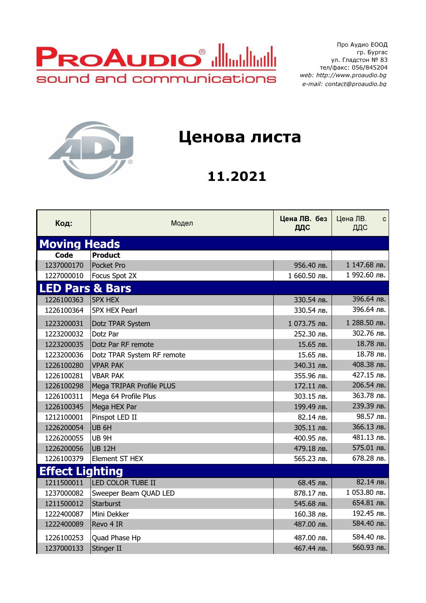

Про Аудио ЕООД гр. Бургас ул. Гладстон № 83 тел/факс: 056/845204 web: http://www.proaudio.bg e-mail: contact@proaudio.bg



## Ценова листа

## 11.2021

| Код:                       | Модел                      | Цена ЛВ. без<br>ДДС | Цена ЛВ.<br>$\mathbf{C}$<br>ДДС |
|----------------------------|----------------------------|---------------------|---------------------------------|
| <b>Moving Heads</b>        |                            |                     |                                 |
| <b>Code</b>                | <b>Product</b>             |                     |                                 |
| 1237000170                 | Pocket Pro                 | 956.40 лв.          | 1 147.68 лв.                    |
| 1227000010                 | Focus Spot 2X              | 1 660.50 лв.        | 1 992.60 лв.                    |
| <b>LED Pars &amp; Bars</b> |                            |                     |                                 |
| 1226100363                 | <b>5PX HEX</b>             | 330.54 лв.          | 396.64 лв.                      |
| 1226100364                 | <b>5PX HEX Pearl</b>       | 330.54 лв.          | 396.64 лв.                      |
| 1223200031                 | Dotz TPAR System           | 1 073.75 лв.        | 1 288.50 лв.                    |
| 1223200032                 | Dotz Par                   | 252.30 лв.          | 302.76 лв.                      |
| 1223200035                 | Dotz Par RF remote         | 15.65 лв.           | 18.78 лв.                       |
| 1223200036                 | Dotz TPAR System RF remote | 15.65 лв.           | 18.78 лв.                       |
| 1226100280                 | <b>VPAR PAK</b>            | 340.31 лв.          | 408.38 лв.                      |
| 1226100281                 | <b>VBAR PAK</b>            | 355.96 лв.          | 427.15 лв.                      |
| 1226100298                 | Mega TRIPAR Profile PLUS   | 172.11 лв.          | 206.54 лв.                      |
| 1226100311                 | Mega 64 Profile Plus       | 303.15 лв.          | 363.78 лв.                      |
| 1226100345                 | Mega HEX Par               | 199.49 лв.          | 239.39 лв.                      |
| 1212100001                 | Pinspot LED II             | 82.14 лв.           | 98.57 лв.                       |
| 1226200054                 | UB <sub>6H</sub>           | 305.11 лв.          | 366.13 лв.                      |
| 1226200055                 | UB <sub>9H</sub>           | 400.95 лв.          | 481.13 лв.                      |
| 1226200056                 | <b>UB 12H</b>              | 479.18 лв.          | 575.01 лв.                      |
| 1226100379                 | Element ST HEX             | 565.23 лв.          | 678.28 лв.                      |
| <b>Effect Lighting</b>     |                            |                     |                                 |
| 1211500011                 | LED COLOR TUBE II          | 68.45 лв.           | 82.14 лв.                       |
| 1237000082                 | Sweeper Beam QUAD LED      | 878.17 лв.          | 1 053.80 лв.                    |
| 1211500012                 | Starburst                  | 545.68 лв.          | 654.81 лв.                      |
| 1222400087                 | Mini Dekker                | 160.38 лв.          | 192.45 лв.                      |
| 1222400089                 | Revo 4 IR                  | 487.00 лв.          | 584.40 лв.                      |
| 1226100253                 | Quad Phase Hp              | 487.00 лв.          | 584.40 лв.                      |
| 1237000133                 | Stinger II                 | 467.44 лв.          | 560.93 лв.                      |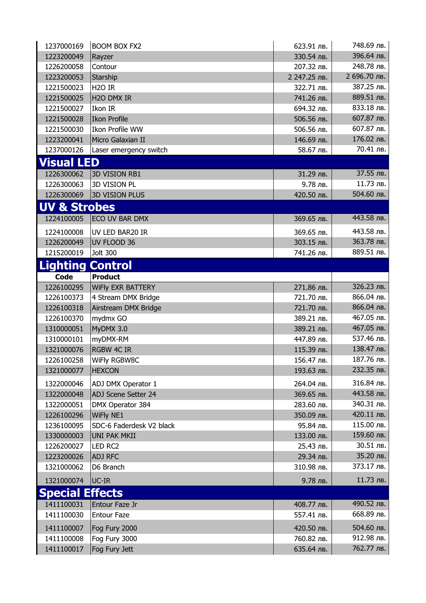| 1237000169              | <b>BOOM BOX FX2</b>      | 623.91 лв.   | 748.69 лв.   |
|-------------------------|--------------------------|--------------|--------------|
| 1223200049              | Rayzer                   | 330.54 лв.   | 396.64 лв.   |
| 1226200058              | Contour                  | 207.32 лв.   | 248.78 лв.   |
| 1223200053              | Starship                 | 2 247.25 лв. | 2 696.70 лв. |
| 1221500023              | H <sub>20</sub> IR       | 322.71 лв.   | 387.25 лв.   |
| 1221500025              | H <sub>20</sub> DMX IR   | 741.26 лв.   | 889.51 лв.   |
| 1221500027              | Ikon IR                  | 694.32 лв.   | 833.18 лв.   |
| 1221500028              | Ikon Profile             | 506.56 лв.   | 607.87 лв.   |
| 1221500030              | <b>Ikon Profile WW</b>   | 506.56 лв.   | 607.87 лв.   |
| 1223200041              | Micro Galaxian II        | 146.69 лв.   | 176.02 лв.   |
| 1237000126              | Laser emergency switch   | 58.67 лв.    | 70.41 лв.    |
| <b>Visual LED</b>       |                          |              |              |
| 1226300062              | <b>3D VISION RB1</b>     | 31.29 лв.    | 37.55 лв.    |
| 1226300063              | <b>3D VISION PL</b>      | 9.78 лв.     | 11.73 лв.    |
| 1226300069              | <b>3D VISION PLUS</b>    | 420.50 лв.   | 504.60 лв.   |
| <b>UV &amp; Strobes</b> |                          |              |              |
| 1224100005              | ECO UV BAR DMX           | 369.65 лв.   | 443.58 лв.   |
| 1224100008              | UV LED BAR20 IR          | 369.65 лв.   | 443.58 лв.   |
| 1226200049              | UV FLOOD 36              | 303.15 лв.   | 363.78 лв.   |
| 1215200019              | <b>Jolt 300</b>          | 741.26 лв.   | 889.51 лв.   |
| <b>Lighting Control</b> |                          |              |              |
| <b>Code</b>             | <b>Product</b>           |              |              |
| 1226100295              | <b>WIFIY EXR BATTERY</b> | 271.86 лв.   | 326.23 лв.   |
| 1226100373              | 4 Stream DMX Bridge      | 721.70 лв.   | 866.04 лв.   |
| 1226100318              | Airstream DMX Bridge     | 721.70 лв.   | 866.04 лв.   |
| 1226100370              | mydmx GO                 | 389.21 лв.   | 467.05 лв.   |
| 1310000051              | MyDMX 3.0                | 389.21 лв.   | 467.05 лв.   |
| 1310000101              | myDMX-RM                 | 447.89 лв.   | 537.46 лв.   |
| 1321000076              | <b>RGBW 4C IR</b>        | 115.39 лв.   | 138.47 лв.   |
| 1226100258              | WiFly RGBW8C             | 156.47 лв.   | 187.76 лв.   |
| 1321000077              | <b>HEXCON</b>            | 193.63 лв.   | 232.35 лв.   |
| 1322000046              | ADJ DMX Operator 1       | 264.04 лв.   | 316.84 лв.   |
| 1322000048              | ADJ Scene Setter 24      | 369.65 лв.   | 443.58 лв.   |
| 1322000051              | DMX Operator 384         | 283.60 лв.   | 340.31 лв.   |
| 1226100296              | <b>WiFly NE1</b>         | 350.09 лв.   | 420.11 лв.   |
| 1236100095              | SDC-6 Faderdesk V2 black | 95.84 лв.    | 115.00 лв.   |
| 1330000003              | <b>UNI PAK MKII</b>      | 133.00 лв.   | 159.60 лв.   |
| 1226200027              | LED RC2                  | 25.43 лв.    | 30.51 лв.    |
| 1223200026              | <b>ADJ RFC</b>           | 29.34 лв.    | 35.20 лв.    |
| 1321000062              | D6 Branch                | 310.98 лв.   | 373.17 лв.   |
| 1321000074              | UC-IR                    | 9.78 лв.     | 11.73 лв.    |
| <b>Special Effects</b>  |                          |              |              |
| 1411100031              | Entour Faze Jr           | 408.77 лв.   | 490.52 лв.   |
| 1411100030              | <b>Entour Faze</b>       | 557.41 лв.   | 668.89 лв.   |
|                         |                          |              |              |
| 1411100007              | Fog Fury 2000            | 420.50 лв.   | 504.60 лв.   |
| 1411100008              | Fog Fury 3000            | 760.82 лв.   | 912.98 лв.   |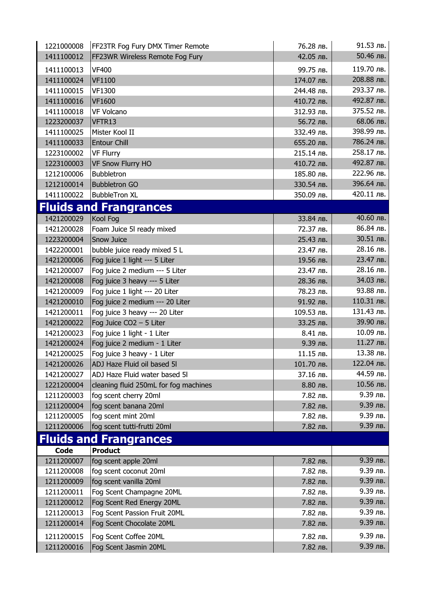| 1221000008 | FF23TR Fog Fury DMX Timer Remote      | 76.28 лв.  | 91.53 лв.  |
|------------|---------------------------------------|------------|------------|
| 1411100012 | FF23WR Wireless Remote Fog Fury       | 42.05 лв.  | 50.46 лв.  |
| 1411100013 | <b>VF400</b>                          | 99.75 лв.  | 119.70 лв. |
| 1411100024 | <b>VF1100</b>                         | 174.07 лв. | 208.88 лв. |
| 1411100015 | VF1300                                | 244.48 лв. | 293.37 лв. |
| 1411100016 | <b>VF1600</b>                         | 410.72 лв. | 492.87 лв. |
| 1411100018 | <b>VF Volcano</b>                     | 312.93 лв. | 375.52 лв. |
| 1223200037 | VFTR13                                | 56.72 лв.  | 68.06 лв.  |
| 1411100025 | Mister Kool II                        | 332.49 лв. | 398.99 лв. |
| 1411100033 | <b>Entour Chill</b>                   | 655.20 лв. | 786.24 лв. |
| 1223100002 | <b>VF Flurry</b>                      | 215.14 лв. | 258.17 лв. |
| 1223100003 | <b>VF Snow Flurry HO</b>              | 410.72 лв. | 492.87 лв. |
| 1212100006 | <b>Bubbletron</b>                     | 185.80 лв. | 222.96 лв. |
| 1212100014 | <b>Bubbletron GO</b>                  | 330.54 лв. | 396.64 лв. |
| 1411100022 | <b>BubbleTron XL</b>                  | 350.09 лв. | 420.11 лв. |
|            | <b>Fluids and Frangrances</b>         |            |            |
| 1421200029 | Kool Fog                              | 33.84 лв.  | 40.60 лв.  |
| 1421200028 | Foam Juice 5I ready mixed             | 72.37 лв.  | 86.84 лв.  |
| 1223200004 | Snow Juice                            | 25.43 лв.  | 30.51 лв.  |
| 1422200001 | bubble juice ready mixed 5 L          | 23.47 лв.  | 28.16 лв.  |
| 1421200006 | Fog juice 1 light --- 5 Liter         | 19.56 лв.  | 23.47 лв.  |
| 1421200007 | Fog juice 2 medium --- 5 Liter        | 23.47 лв.  | 28.16 лв.  |
| 1421200008 | Fog juice 3 heavy --- 5 Liter         | 28.36 лв.  | 34.03 лв.  |
| 1421200009 | Fog juice 1 light --- 20 Liter        | 78.23 лв.  | 93.88 лв.  |
| 1421200010 | Fog juice 2 medium --- 20 Liter       | 91.92 лв.  | 110.31 лв. |
| 1421200011 | Fog juice 3 heavy --- 20 Liter        | 109.53 лв. | 131.43 лв. |
| 1421200022 | Fog Juice CO2 - 5 Liter               | 33.25 лв.  | 39.90 лв.  |
| 1421200023 | Fog juice 1 light - 1 Liter           | 8.41 лв.   | 10.09 лв.  |
| 1421200024 | Fog juice 2 medium - 1 Liter          | 9.39 лв.   | 11.27 лв.  |
| 1421200025 | Fog juice 3 heavy - 1 Liter           | 11.15 лв.  | 13.38 лв.  |
| 1421200026 | ADJ Haze Fluid oil based 5I           | 101.70 лв. | 122.04 лв. |
| 1421200027 | ADJ Haze Fluid water based 5I         | 37.16 лв.  | 44.59 лв.  |
| 1221200004 | cleaning fluid 250mL for fog machines | 8.80 лв.   | 10.56 лв.  |
| 1211200003 | fog scent cherry 20ml                 | 7.82 лв.   | 9.39 лв.   |
| 1211200004 | fog scent banana 20ml                 | 7.82 лв.   | 9.39 лв.   |
| 1211200005 | fog scent mint 20ml                   | 7.82 лв.   | 9.39 лв.   |
| 1211200006 | fog scent tutti-frutti 20ml           | 7.82 лв.   | 9.39 лв.   |
|            | <b>Fluids and Frangrances</b>         |            |            |
| Code       | <b>Product</b>                        |            |            |
| 1211200007 | fog scent apple 20ml                  | 7.82 лв.   | 9.39 лв.   |
| 1211200008 | fog scent coconut 20ml                | 7.82 лв.   | 9.39 лв.   |
| 1211200009 | fog scent vanilla 20ml                | 7.82 лв.   | 9.39 лв.   |
| 1211200011 | Fog Scent Champagne 20ML              | 7.82 лв.   | 9.39 лв.   |
| 1211200012 | Fog Scent Red Energy 20ML             | 7.82 лв.   | 9.39 лв.   |
| 1211200013 | Fog Scent Passion Fruit 20ML          | 7.82 лв.   | 9.39 лв.   |
| 1211200014 | Fog Scent Chocolate 20ML              | 7.82 лв.   | 9.39 лв.   |
| 1211200015 | Fog Scent Coffee 20ML                 | 7.82 лв.   | 9.39 лв.   |
| 1211200016 | Fog Scent Jasmin 20ML                 | 7.82 лв.   | 9.39 лв.   |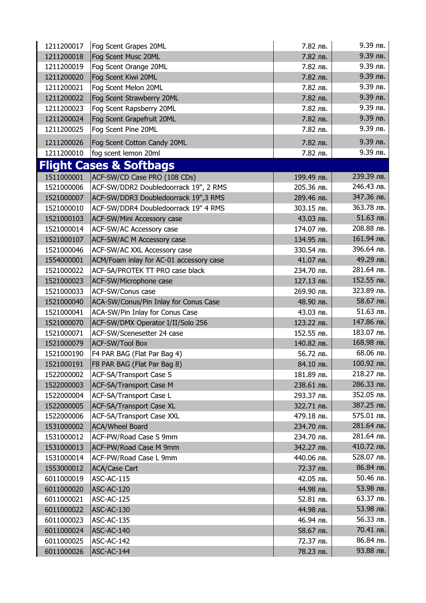| 1211200017 | Fog Scent Grapes 20ML                   | 7.82 лв.   | 9.39 лв.   |
|------------|-----------------------------------------|------------|------------|
| 1211200018 | Fog Scent Musc 20ML                     | 7.82 лв.   | 9.39 лв.   |
| 1211200019 | Fog Scent Orange 20ML                   | 7.82 лв.   | 9.39 лв.   |
| 1211200020 | Fog Scent Kiwi 20ML                     | 7.82 лв.   | 9.39 лв.   |
| 1211200021 | Fog Scent Melon 20ML                    | 7.82 лв.   | $9.39$ лв. |
| 1211200022 | Fog Scent Strawberry 20ML               | 7.82 лв.   | 9.39 лв.   |
| 1211200023 | Fog Scent Rapsberry 20ML                | 7.82 лв.   | 9.39 лв.   |
| 1211200024 | Fog Scent Grapefruit 20ML               | 7.82 лв.   | 9.39 лв.   |
| 1211200025 | Fog Scent Pine 20ML                     | 7.82 лв.   | 9.39 лв.   |
| 1211200026 | Fog Scent Cotton Candy 20ML             | 7.82 лв.   | 9.39 лв.   |
| 1211200010 | fog scent lemon 20ml                    | 7.82 лв.   | 9.39 лв.   |
|            | <b>Flight Cases &amp; Softbags</b>      |            |            |
| 1511000001 | ACF-SW/CD Case PRO (108 CDs)            | 199.49 лв. | 239.39 лв. |
| 1521000006 | ACF-SW/DDR2 Doubledoorrack 19", 2 RMS   | 205.36 лв. | 246.43 лв. |
| 1521000007 | ACF-SW/DDR3 Doubledoorrack 19",3 RMS    | 289.46 лв. | 347.36 лв. |
| 1521000010 | ACF-SW/DDR4 Doubledoorrack 19" 4 RMS    | 303.15 лв. | 363.78 лв. |
| 1521000103 | ACF-SW/Mini Accessory case              | 43.03 лв.  | 51.63 лв.  |
| 1521000014 | ACF-SW/AC Accessory case                | 174.07 лв. | 208.88 лв. |
| 1521000107 | ACF-SW/AC M Accessory case              | 134.95 лв. | 161.94 лв. |
| 1521000046 | ACF-SW/AC XXL Accessory case            | 330.54 лв. | 396.64 лв. |
| 1554000001 | ACM/Foam inlay for AC-01 accessory case | 41.07 лв.  | 49.29 лв.  |
| 1521000022 | ACF-SA/PROTEK TT PRO case black         | 234.70 лв. | 281.64 лв. |
| 1521000023 | ACF-SW/Microphone case                  | 127.13 лв. | 152.55 лв. |
| 1521000033 | ACF-SW/Conus case                       | 269.90 лв. | 323.89 лв. |
| 1521000040 | ACA-SW/Conus/Pin Inlay for Conus Case   | 48.90 лв.  | 58.67 лв.  |
| 1521000041 | ACA-SW/Pin Inlay for Conus Case         | 43.03 лв.  | 51.63 лв.  |
| 1521000070 | ACF-SW/DMX Operator I/II/Solo 256       | 123.22 лв. | 147.86 лв. |
| 1521000071 | ACF-SW/Scenesetter 24 case              | 152.55 лв. | 183.07 лв. |
| 1521000079 | <b>ACF-SW/Tool Box</b>                  | 140.82 лв. | 168.98 лв. |
| 1521000190 | F4 PAR BAG (Flat Par Bag 4)             | 56.72 лв.  | 68.06 лв.  |
| 1521000191 | F8 PAR BAG (Flat Par Bag 8)             | 84.10 лв.  | 100.92 лв. |
| 1522000002 | ACF-SA/Transport Case S                 | 181.89 лв. | 218.27 лв. |
| 1522000003 | <b>ACF-SA/Transport Case M</b>          | 238.61 лв. | 286.33 лв. |
| 1522000004 | ACF-SA/Transport Case L                 | 293.37 лв. | 352.05 лв. |
| 1522000005 | <b>ACF-SA/Transport Case XL</b>         | 322.71 лв. | 387.25 лв. |
| 1522000006 | ACF-SA/Transport Case XXL               | 479.18 лв. | 575.01 лв. |
| 1531000002 | <b>ACA/Wheel Board</b>                  | 234.70 лв. | 281.64 лв. |
| 1531000012 | ACF-PW/Road Case S 9mm                  | 234.70 лв. | 281.64 лв. |
| 1531000013 | ACF-PW/Road Case M 9mm                  | 342.27 лв. | 410.72 лв. |
| 1531000014 | ACF-PW/Road Case L 9mm                  | 440.06 лв. | 528.07 лв. |
| 1553000012 | <b>ACA/Case Cart</b>                    | 72.37 лв.  | 86.84 лв.  |
| 6011000019 | ASC-AC-115                              | 42.05 лв.  | 50.46 лв.  |
| 6011000020 | ASC-AC-120                              | 44.98 лв.  | 53.98 лв.  |
| 6011000021 | ASC-AC-125                              | 52.81 лв.  | 63.37 лв.  |
| 6011000022 | ASC-AC-130                              | 44.98 лв.  | 53.98 лв.  |
| 6011000023 | ASC-AC-135                              | 46.94 лв.  | 56.33 лв.  |
| 6011000024 | ASC-AC-140                              | 58.67 лв.  | 70.41 лв.  |
| 6011000025 | ASC-AC-142                              | 72.37 лв.  | 86.84 лв.  |
| 6011000026 | ASC-AC-144                              | 78.23 лв.  | 93.88 лв.  |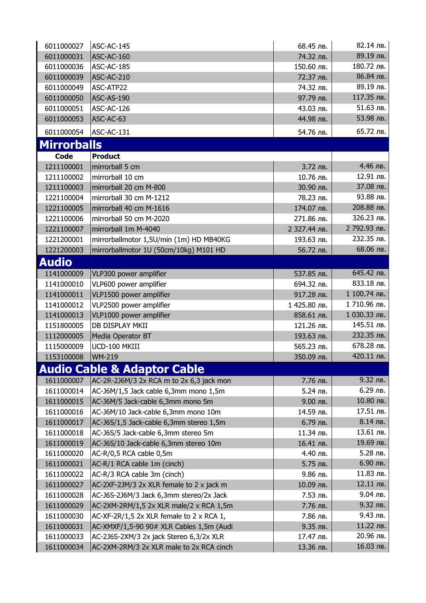| 6011000027         | ASC-AC-145                               | 68.45 лв.    | 82.14 лв.    |
|--------------------|------------------------------------------|--------------|--------------|
| 6011000031         | ASC-AC-160                               | 74.32 лв.    | 89.19 лв.    |
| 6011000036         | ASC-AC-185                               | 150.60 лв.   | 180.72 лв.   |
| 6011000039         | ASC-AC-210                               | 72.37 лв.    | 86.84 лв.    |
| 6011000049         | ASC-ATP22                                | 74.32 лв.    | 89.19 лв.    |
| 6011000050         | ASC-AS-190                               | 97.79 лв.    | 117.35 лв.   |
| 6011000051         | ASC-AC-126                               | 43.03 лв.    | 51.63 лв.    |
| 6011000053         | ASC-AC-63                                | 44.98 лв.    | 53.98 лв.    |
| 6011000054         | ASC-AC-131                               | 54.76 лв.    | 65.72 лв.    |
| <b>Mirrorballs</b> |                                          |              |              |
| <b>Code</b>        | <b>Product</b>                           |              |              |
| 1211100001         | mirrorball 5 cm                          | 3.72 лв.     | 4.46 лв.     |
| 1211100002         | mirrorball 10 cm                         | 10.76 лв.    | 12.91 лв.    |
| 1211100003         | mirrorball 20 cm M-800                   | 30.90 лв.    | 37.08 лв.    |
| 1221100004         | mirrorball 30 cm M-1212                  | 78.23 лв.    | 93.88 лв.    |
| 1221100005         | mirrorball 40 cm M-1616                  | 174.07 лв.   | 208.88 лв.   |
| 1221100006         | mirrorball 50 cm M-2020                  | 271.86 лв.   | 326.23 лв.   |
| 1221100007         | mirrorball 1m M-4040                     | 2 327.44 лв. | 2 792.93 лв. |
| 1221200001         |                                          | 193.63 лв.   | 232.35 лв.   |
| 1221200003         | mirrorballmotor 1,5U/min (1m) HD MB40KG  | 56.72 лв.    | 68.06 лв.    |
|                    | mirrorballmotor 1U (50cm/10kg) M101 HD   |              |              |
| <b>Audio</b>       |                                          |              |              |
| 1141000009         | VLP300 power amplifier                   | 537.85 лв.   | 645.42 лв.   |
| 1141000010         | VLP600 power amplifier                   | 694.32 лв.   | 833.18 лв.   |
| 1141000011         | VLP1500 power amplifier                  | 917.28 лв.   | 1 100.74 лв. |
| 1141000012         | VLP2500 power amplifier                  | 1 425.80 лв. | 1710.96 лв.  |
| 1141000013         | VLP1000 power amplifier                  | 858.61 лв.   | 1 030.33 лв. |
| 1151800005         | DB DISPLAY MKII                          | 121.26 лв.   | 145.51 лв.   |
| 1112000005         | Media Operator BT                        | 193.63 лв.   | 232.35 лв.   |
| 1115000009         | UCD-100 MKIII                            | 565.23 лв.   | 678.28 лв.   |
| 1153100008         | <b>WM-219</b>                            | 350.09 лв.   | 420.11 лв.   |
|                    | <b>Audio Cable &amp; Adaptor Cable</b>   |              |              |
| 1611000007         | AC-2R-2J6M/3 2x RCA m to 2x 6,3 jack mon | 7.76 лв.     | 9.32 лв.     |
| 1611000014         | AC-J6M/1,5 Jack cable 6,3mm mono 1,5m    | 5.24 лв.     | 6.29 лв.     |
| 1611000015         | AC-J6M/5 Jack-cable 6,3mm mono 5m        | 9.00 лв.     | 10.80 лв.    |
| 1611000016         | AC-J6M/10 Jack-cable 6,3mm mono 10m      | 14.59 лв.    | 17.51 лв.    |
| 1611000017         | AC-J6S/1,5 Jack-cable 6,3mm stereo 1,5m  | 6.79 лв.     | 8.14 лв.     |
| 1611000018         | AC-J6S/5 Jack-cable 6,3mm stereo 5m      | 11.34 лв.    | 13.61 лв.    |
| 1611000019         | AC-J6S/10 Jack-cable 6,3mm stereo 10m    | 16.41 лв.    | 19.69 лв.    |
| 1611000020         | AC-R/0,5 RCA cable 0,5m                  | 4.40 лв.     | 5.28 лв.     |
| 1611000021         | AC-R/1 RCA cable 1m (cinch)              | 5.75 лв.     | 6.90 лв.     |
| 1611000022         | AC-R/3 RCA cable 3m (cinch)              | 9.86 лв.     | 11.83 лв.    |
| 1611000027         | AC-2XF-2JM/3 2x XLR female to 2 x jack m | 10.09 лв.    | 12.11 лв.    |
| 1611000028         | AC-J6S-2J6M/3 Jack 6,3mm stereo/2x Jack  | 7.53 лв.     | 9.04 лв.     |
| 1611000029         | AC-2XM-2RM/1,5 2x XLR male/2 x RCA 1,5m  | 7.76 лв.     | 9.32 лв.     |
| 1611000030         | AC-XF-2R/1,5 2x XLR female to 2 x RCA 1, | 7.86 лв.     | 9.43 лв.     |
| 1611000031         | AC-XMXF/1,5-90 90# XLR Cables 1,5m (Audi | 9.35 лв.     | 11.22 лв.    |
| 1611000033         | AC-2J6S-2XM/3 2x jack Stereo 6,3/2x XLR  | 17.47 лв.    | 20.96 лв.    |
| 1611000034         | AC-2XM-2RM/3 2x XLR male to 2x RCA cinch | 13.36 лв.    | 16.03 лв.    |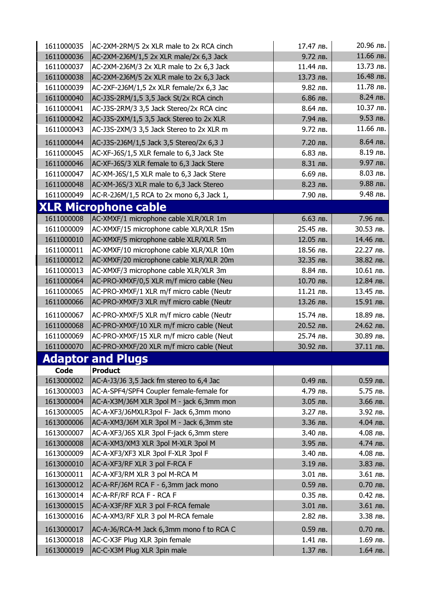| 1611000035 | AC-2XM-2RM/5 2x XLR male to 2x RCA cinch | 17.47 лв. | 20.96 лв. |
|------------|------------------------------------------|-----------|-----------|
| 1611000036 | AC-2XM-2J6M/1,5 2x XLR male/2x 6,3 Jack  | 9.72 лв.  | 11.66 лв. |
| 1611000037 | AC-2XM-2J6M/3 2x XLR male to 2x 6,3 Jack | 11.44 лв. | 13.73 лв. |
| 1611000038 | AC-2XM-2J6M/5 2x XLR male to 2x 6,3 Jack | 13.73 лв. | 16.48 лв. |
| 1611000039 | AC-2XF-2J6M/1,5 2x XLR female/2x 6,3 Jac | 9.82 лв.  | 11.78 лв. |
| 1611000040 | AC-J3S-2RM/1,5 3,5 Jack St/2x RCA cinch  | 6.86 лв.  | 8.24 лв.  |
| 1611000041 | AC-J3S-2RM/3 3,5 Jack Stereo/2x RCA cinc | 8.64 лв.  | 10.37 лв. |
| 1611000042 | AC-J3S-2XM/1,5 3,5 Jack Stereo to 2x XLR | 7.94 лв.  | 9.53 лв.  |
| 1611000043 | AC-J3S-2XM/3 3,5 Jack Stereo to 2x XLR m | 9.72 лв.  | 11.66 лв. |
| 1611000044 | AC-J3S-2J6M/1,5 Jack 3,5 Stereo/2x 6,3 J | 7.20 лв.  | 8.64 лв.  |
| 1611000045 | AC-XF-J6S/1,5 XLR female to 6,3 Jack Ste | 6.83 лв.  | 8.19 лв.  |
| 1611000046 | AC-XF-J6S/3 XLR female to 6,3 Jack Stere | 8.31 лв.  | 9.97 лв.  |
| 1611000047 | AC-XM-J6S/1,5 XLR male to 6,3 Jack Stere | 6.69 лв.  | 8.03 лв.  |
| 1611000048 | AC-XM-J6S/3 XLR male to 6,3 Jack Stereo  | 8.23 лв.  | 9.88 лв.  |
| 1611000049 | AC-R-2J6M/1,5 RCA to 2x mono 6,3 Jack 1, | 7.90 лв.  | 9.48 лв.  |
|            | <b>XLR Microphone cable</b>              |           |           |
| 1611000008 | AC-XMXF/1 microphone cable XLR/XLR 1m    | 6.63 лв.  | 7.96 лв.  |
| 1611000009 | AC-XMXF/15 microphone cable XLR/XLR 15m  | 25.45 лв. | 30.53 лв. |
| 1611000010 | AC-XMXF/5 microphone cable XLR/XLR 5m    | 12.05 лв. | 14.46 лв. |
| 1611000011 | AC-XMXF/10 microphone cable XLR/XLR 10m  | 18.56 лв. | 22.27 лв. |
| 1611000012 | AC-XMXF/20 microphone cable XLR/XLR 20m  | 32.35 лв. | 38.82 лв. |
| 1611000013 | AC-XMXF/3 microphone cable XLR/XLR 3m    | 8.84 лв.  | 10.61 лв. |
| 1611000064 | AC-PRO-XMXF/0,5 XLR m/f micro cable (Neu | 10.70 лв. | 12.84 лв. |
| 1611000065 | AC-PRO-XMXF/1 XLR m/f micro cable (Neutr | 11.21 лв. | 13.45 лв. |
| 1611000066 | AC-PRO-XMXF/3 XLR m/f micro cable (Neutr | 13.26 лв. | 15.91 лв. |
| 1611000067 | AC-PRO-XMXF/5 XLR m/f micro cable (Neutr | 15.74 лв. | 18.89 лв. |
| 1611000068 | AC-PRO-XMXF/10 XLR m/f micro cable (Neut | 20.52 лв. | 24.62 лв. |
| 1611000069 | AC-PRO-XMXF/15 XLR m/f micro cable (Neut | 25.74 лв. | 30.89 лв. |
| 1611000070 | AC-PRO-XMXF/20 XLR m/f micro cable (Neut | 30.92 лв. | 37.11 лв. |
|            | <b>Adaptor and Plugs</b>                 |           |           |
| Code       | <b>Product</b>                           |           |           |
| 1613000002 | AC-A-J3/J6 3,5 Jack fm stereo to 6,4 Jac | 0.49 лв.  | 0.59 лв.  |
| 1613000003 | AC-A-SPF4/SPF4 Coupler female-female for | 4.79 лв.  | 5.75 лв.  |
| 1613000004 | AC-A-X3M/J6M XLR 3pol M - jack 6,3mm mon | 3.05 лв.  | 3.66 лв.  |
| 1613000005 | AC-A-XF3/J6MXLR3pol F- Jack 6,3mm mono   | 3.27 лв.  | 3.92 лв.  |
| 1613000006 | AC-A-XM3/J6M XLR 3pol M - Jack 6,3mm ste | 3.36 лв.  | 4.04 лв.  |
| 1613000007 | AC-A-XF3/J6S XLR 3pol F-jack 6,3mm stere | 3.40 лв.  | 4.08 лв.  |
| 1613000008 | AC-A-XM3/XM3 XLR 3pol M-XLR 3pol M       | 3.95 лв.  | 4.74 лв.  |
| 1613000009 | AC-A-XF3/XF3 XLR 3pol F-XLR 3pol F       | 3.40 лв.  | 4.08 лв.  |
| 1613000010 | AC-A-XF3/RF XLR 3 pol F-RCA F            | 3.19 лв.  | 3.83 лв.  |
| 1613000011 | AC-A-XF3/RM XLR 3 pol M-RCA M            | 3.01 лв.  | 3.61 лв.  |
| 1613000012 | AC-A-RF/J6M RCA F - 6,3mm jack mono      | 0.59 лв.  | 0.70 лв.  |
| 1613000014 | AC-A-RF/RF RCA F - RCA F                 | 0.35 лв.  | 0.42 лв.  |
| 1613000015 | AC-A-X3F/RF XLR 3 pol F-RCA female       | 3.01 лв.  | 3.61 лв.  |
| 1613000016 | AC-A-XM3/RF XLR 3 pol M-RCA female       | 2.82 лв.  | 3.38 лв.  |
| 1613000017 | AC-A-J6/RCA-M Jack 6,3mm mono f to RCA C | 0.59 лв.  | 0.70 лв.  |
| 1613000018 | AC-C-X3F Plug XLR 3pin female            | 1.41 лв.  | 1.69 лв.  |
| 1613000019 | AC-C-X3M Plug XLR 3pin male              | 1.37 лв.  | 1.64 лв.  |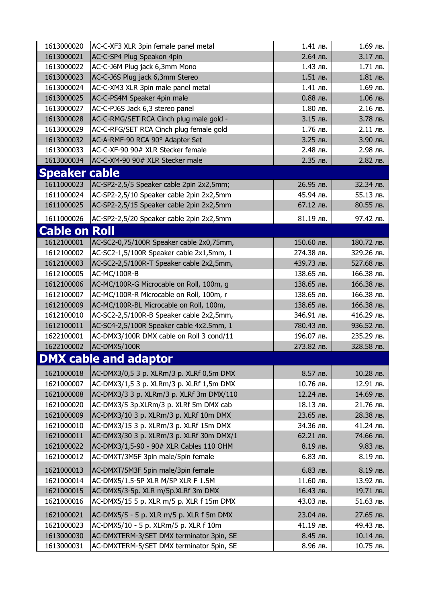| 1613000020           | AC-C-XF3 XLR 3pin female panel metal     | 1.41 лв.   | 1.69 лв.   |
|----------------------|------------------------------------------|------------|------------|
| 1613000021           | AC-C-SP4 Plug Speakon 4pin               | 2.64 лв.   | 3.17 лв.   |
| 1613000022           | AC-C-J6M Plug jack 6,3mm Mono            | 1.43 лв.   | 1.71 лв.   |
| 1613000023           | AC-C-J6S Plug jack 6,3mm Stereo          | 1.51 лв.   | 1.81 лв.   |
| 1613000024           | AC-C-XM3 XLR 3pin male panel metal       | 1.41 лв.   | 1.69 лв.   |
| 1613000025           | AC-C-PS4M Speaker 4pin male              | 0.88 лв.   | 1.06 лв.   |
| 1613000027           | AC-C-PJ6S Jack 6,3 stereo panel          | 1.80 лв.   | 2.16 лв.   |
| 1613000028           | AC-C-RMG/SET RCA Cinch plug male gold -  | 3.15 лв.   | 3.78 лв.   |
| 1613000029           | AC-C-RFG/SET RCA Cinch plug female gold  | 1.76 лв.   | 2.11 лв.   |
| 1613000032           | AC-A-RMF-90 RCA 90° Adapter Set          | 3.25 лв.   | 3.90 лв.   |
| 1613000033           | AC-C-XF-90 90# XLR Stecker female        | 2.48 лв.   | 2.98 лв.   |
| 1613000034           | AC-C-XM-90 90# XLR Stecker male          | 2.35 лв.   | 2.82 лв.   |
| <b>Speaker cable</b> |                                          |            |            |
| 1611000023           | AC-SP2-2,5/5 Speaker cable 2pin 2x2,5mm; | 26.95 лв.  | 32.34 лв.  |
| 1611000024           | AC-SP2-2,5/10 Speaker cable 2pin 2x2,5mm | 45.94 лв.  | 55.13 лв.  |
| 1611000025           | AC-SP2-2,5/15 Speaker cable 2pin 2x2,5mm | 67.12 лв.  | 80.55 лв.  |
| 1611000026           | AC-SP2-2,5/20 Speaker cable 2pin 2x2,5mm | 81.19 лв.  | 97.42 лв.  |
| <b>Cable on Roll</b> |                                          |            |            |
| 1612100001           | AC-SC2-0,75/100R Speaker cable 2x0,75mm, | 150.60 лв. | 180.72 лв. |
| 1612100002           | AC-SC2-1,5/100R Speaker cable 2x1,5mm, 1 | 274.38 лв. | 329.26 лв. |
| 1612100003           | AC-SC2-2,5/100R-T Speaker cable 2x2,5mm, | 439.73 лв. | 527.68 лв. |
| 1612100005           | AC-MC/100R-B                             | 138.65 лв. | 166.38 лв. |
| 1612100006           | AC-MC/100R-G Microcable on Roll, 100m, g | 138.65 лв. | 166.38 лв. |
| 1612100007           | AC-MC/100R-R Microcable on Roll, 100m, r | 138.65 лв. | 166.38 лв. |
| 1612100009           | AC-MC/100R-BL Microcable on Roll, 100m,  | 138.65 лв. | 166.38 лв. |
| 1612100010           | AC-SC2-2,5/100R-B Speaker cable 2x2,5mm, | 346.91 лв. | 416.29 лв. |
| 1612100011           | AC-SC4-2,5/100R Speaker cable 4x2.5mm, 1 | 780.43 лв. | 936.52 лв. |
| 1622100001           | AC-DMX3/100R DMX cable on Roll 3 cond/11 | 196.07 лв. | 235.29 лв. |
| 1622100002           | AC-DMX5/100R                             | 273.82 лв. | 328.58 лв. |
|                      | <b>DMX cable and adaptor</b>             |            |            |
|                      |                                          |            |            |
| 1621000018           | AC-DMX3/0,5 3 p. XLRm/3 p. XLRf 0,5m DMX | 8.57 лв.   | 10.28 лв.  |
| 1621000007           | AC-DMX3/1,5 3 p. XLRm/3 p. XLRf 1,5m DMX | 10.76 лв.  | 12.91 лв.  |
| 1621000008           | AC-DMX3/3 3 p. XLRm/3 p. XLRf 3m DMX/110 | 12.24 лв.  | 14.69 лв.  |
| 1621000020           | AC-DMX3/5 3p.XLRm/3 p. XLRf 5m DMX cab   | 18.13 лв.  | 21.76 лв.  |
| 1621000009           | AC-DMX3/10 3 p. XLRm/3 p. XLRf 10m DMX   | 23.65 лв.  | 28.38 лв.  |
| 1621000010           | AC-DMX3/15 3 p. XLRm/3 p. XLRf 15m DMX   | 34.36 лв.  | 41.24 лв.  |
| 1621000011           | AC-DMX3/30 3 p. XLRm/3 p. XLRf 30m DMX/1 | 62.21 лв.  | 74.66 лв.  |
| 1621000022           | AC-DMX3/1,5-90 - 90# XLR Cables 110 OHM  | 8.19 лв.   | 9.83 лв.   |
| 1621000012           | AC-DMXT/3M5F 3pin male/5pin female       | 6.83 лв.   | 8.19 лв.   |
| 1621000013           | AC-DMXT/5M3F 5pin male/3pin female       | 6.83 лв.   | 8.19 лв.   |
| 1621000014           | AC-DMX5/1.5-5P XLR M/5P XLR F 1.5M       | 11.60 лв.  | 13.92 лв.  |
| 1621000015           | AC-DMX5/3-5p. XLR m/5p.XLRf 3m DMX       | 16.43 лв.  | 19.71 лв.  |
| 1621000016           | AC-DMX5/15 5 p. XLR m/5 p. XLR f 15m DMX | 43.03 лв.  | 51.63 лв.  |
| 1621000021           | AC-DMX5/5 - 5 p. XLR m/5 p. XLR f 5m DMX | 23.04 лв.  | 27.65 лв.  |
| 1621000023           | AC-DMX5/10 - 5 p. XLRm/5 p. XLR f 10m    | 41.19 лв.  | 49.43 лв.  |
| 1613000030           | AC-DMXTERM-3/SET DMX terminator 3pin, SE | 8.45 лв.   | 10.14 лв.  |
| 1613000031           | AC-DMXTERM-5/SET DMX terminator 5pin, SE | 8.96 лв.   | 10.75 лв.  |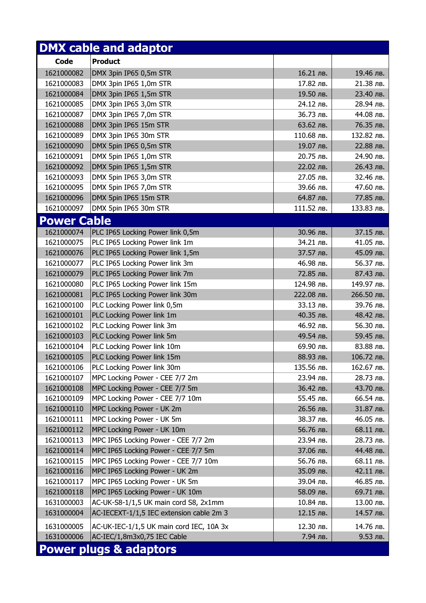|                    | <b>DMX cable and adaptor</b>             |            |            |
|--------------------|------------------------------------------|------------|------------|
| <b>Code</b>        | <b>Product</b>                           |            |            |
| 1621000082         | DMX 3pin IP65 0,5m STR                   | 16.21 лв.  | 19.46 лв.  |
| 1621000083         | DMX 3pin IP65 1,0m STR                   | 17.82 лв.  | 21.38 лв.  |
| 1621000084         | DMX 3pin IP65 1,5m STR                   | 19.50 лв.  | 23.40 лв.  |
| 1621000085         | DMX 3pin IP65 3,0m STR                   | 24.12 лв.  | 28.94 лв.  |
| 1621000087         | DMX 3pin IP65 7,0m STR                   | 36.73 лв.  | 44.08 лв.  |
| 1621000088         | DMX 3pin IP65 15m STR                    | 63.62 лв.  | 76.35 лв.  |
| 1621000089         | DMX 3pin IP65 30m STR                    | 110.68 лв. | 132.82 лв. |
| 1621000090         | DMX 5pin IP65 0,5m STR                   | 19.07 лв.  | 22.88 лв.  |
| 1621000091         | DMX 5pin IP65 1,0m STR                   | 20.75 лв.  | 24.90 лв.  |
| 1621000092         | DMX 5pin IP65 1,5m STR                   | 22.02 лв.  | 26.43 лв.  |
| 1621000093         | DMX 5pin IP65 3,0m STR                   | 27.05 лв.  | 32.46 лв.  |
| 1621000095         | DMX 5pin IP65 7,0m STR                   | 39.66 лв.  | 47.60 лв.  |
| 1621000096         | DMX 5pin IP65 15m STR                    | 64.87 лв.  | 77.85 лв.  |
| 1621000097         | DMX 5pin IP65 30m STR                    | 111.52 лв. | 133.83 лв. |
| <b>Power Cable</b> |                                          |            |            |
| 1621000074         | PLC IP65 Locking Power link 0,5m         | 30.96 лв.  | 37.15 лв.  |
| 1621000075         | PLC IP65 Locking Power link 1m           | 34.21 лв.  | 41.05 лв.  |
| 1621000076         | PLC IP65 Locking Power link 1,5m         | 37.57 лв.  | 45.09 лв.  |
| 1621000077         | PLC IP65 Locking Power link 3m           | 46.98 лв.  | 56.37 лв.  |
| 1621000079         | PLC IP65 Locking Power link 7m           | 72.85 лв.  | 87.43 лв.  |
| 1621000080         | PLC IP65 Locking Power link 15m          | 124.98 лв. | 149.97 лв. |
| 1621000081         | PLC IP65 Locking Power link 30m          | 222.08 лв. | 266.50 лв. |
| 1621000100         | PLC Locking Power link 0,5m              | 33.13 лв.  | 39.76 лв.  |
| 1621000101         | PLC Locking Power link 1m                | 40.35 лв.  | 48.42 лв.  |
| 1621000102         | PLC Locking Power link 3m                | 46.92 лв.  | 56.30 лв.  |
| 1621000103         | PLC Locking Power link 5m                | 49.54 лв.  | 59.45 лв.  |
| 1621000104         | PLC Locking Power link 10m               | 69.90 лв.  | 83.88 лв.  |
| 1621000105         | PLC Locking Power link 15m               | 88.93 лв.  | 106.72 лв. |
| 1621000106         | PLC Locking Power link 30m               | 135.56 лв. | 162.67 лв. |
| 1621000107         | MPC Locking Power - CEE 7/7 2m           | 23.94 лв.  | 28.73 лв.  |
| 1621000108         | MPC Locking Power - CEE 7/7 5m           | 36.42 лв.  | 43.70 лв.  |
| 1621000109         | MPC Locking Power - CEE 7/7 10m          | 55.45 лв.  | 66.54 лв.  |
| 1621000110         | MPC Locking Power - UK 2m                | 26.56 лв.  | 31.87 лв.  |
| 1621000111         | MPC Locking Power - UK 5m                | 38.37 лв.  | 46.05 лв.  |
| 1621000112         | MPC Locking Power - UK 10m               | 56.76 лв.  | 68.11 лв.  |
| 1621000113         | MPC IP65 Locking Power - CEE 7/7 2m      | 23.94 лв.  | 28.73 лв.  |
| 1621000114         | MPC IP65 Locking Power - CEE 7/7 5m      | 37.06 лв.  | 44.48 лв.  |
| 1621000115         | MPC IP65 Locking Power - CEE 7/7 10m     | 56.76 лв.  | 68.11 лв.  |
| 1621000116         | MPC IP65 Locking Power - UK 2m           | 35.09 лв.  | 42.11 лв.  |
| 1621000117         | MPC IP65 Locking Power - UK 5m           | 39.04 лв.  | 46.85 лв.  |
| 1621000118         | MPC IP65 Locking Power - UK 10m          | 58.09 лв.  | 69.71 лв.  |
| 1631000003         | AC-UK-S8-1/1,5 UK main cord S8, 2x1mm    | 10.84 лв.  | 13.00 лв.  |
| 1631000004         | AC-IECEXT-1/1,5 IEC extension cable 2m 3 | 12.15 лв.  | 14.57 лв.  |
| 1631000005         | AC-UK-IEC-1/1,5 UK main cord IEC, 10A 3x | 12.30 лв.  | 14.76 лв.  |
| 1631000006         | AC-IEC/1,8m3x0,75 IEC Cable              | 7.94 лв.   | 9.53 лв.   |
|                    | <b>Power plugs &amp; adaptors</b>        |            |            |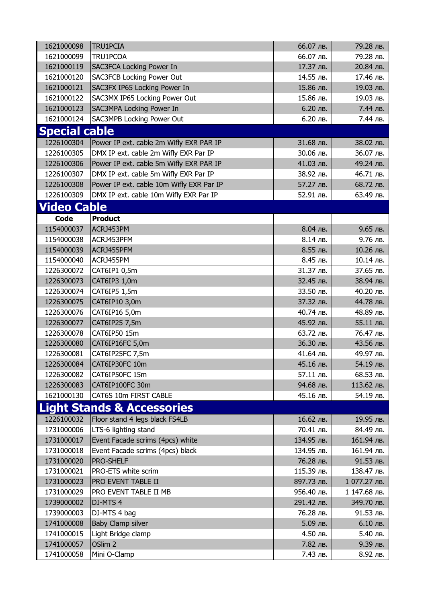| 1621000098           | <b>TRU1PCIA</b>                          | 66.07 лв.  | 79.28 лв.    |
|----------------------|------------------------------------------|------------|--------------|
| 1621000099           | TRU1PCOA                                 | 66.07 лв.  | 79.28 лв.    |
| 1621000119           | <b>SAC3FCA Locking Power In</b>          | 17.37 лв.  | 20.84 лв.    |
| 1621000120           | <b>SAC3FCB Locking Power Out</b>         | 14.55 лв.  | 17.46 лв.    |
| 1621000121           | SAC3FX IP65 Locking Power In             | 15.86 лв.  | 19.03 лв.    |
| 1621000122           | SAC3MX IP65 Locking Power Out            | 15.86 лв.  | 19.03 лв.    |
| 1621000123           | <b>SAC3MPA Locking Power In</b>          | 6.20 лв.   | 7.44 лв.     |
| 1621000124           | SAC3MPB Locking Power Out                | 6.20 лв.   | 7.44 лв.     |
| <b>Special cable</b> |                                          |            |              |
| 1226100304           | Power IP ext. cable 2m Wifly EXR PAR IP  | 31.68 лв.  | 38.02 лв.    |
| 1226100305           | DMX IP ext. cable 2m Wifly EXR Par IP    | 30.06 лв.  | 36.07 лв.    |
| 1226100306           | Power IP ext. cable 5m Wifly EXR PAR IP  | 41.03 лв.  | 49.24 лв.    |
| 1226100307           | DMX IP ext. cable 5m Wifly EXR Par IP    | 38.92 лв.  | 46.71 лв.    |
| 1226100308           | Power IP ext. cable 10m Wifly EXR Par IP | 57.27 лв.  | 68.72 лв.    |
| 1226100309           | DMX IP ext. cable 10m Wifly EXR Par IP   | 52.91 лв.  | 63.49 лв.    |
| <b>Video Cable</b>   |                                          |            |              |
| Code                 | <b>Product</b>                           |            |              |
| 1154000037           | ACRJ453PM                                | 8.04 лв.   | 9.65 лв.     |
| 1154000038           | ACRJ453PFM                               | 8.14 лв.   | 9.76 лв.     |
| 1154000039           | ACRJ455PFM                               | 8.55 лв.   | 10.26 лв.    |
| 1154000040           | ACRJ455PM                                | 8.45 лв.   | 10.14 лв.    |
| 1226300072           |                                          | 31.37 лв.  | 37.65 лв.    |
| 1226300073           | CAT6IP1 0,5m                             | 32.45 лв.  | 38.94 лв.    |
| 1226300074           | CAT6IP3 1,0m                             | 33.50 лв.  | 40.20 лв.    |
| 1226300075           | CAT6IP5 1,5m<br>CAT6IP10 3,0m            | 37.32 лв.  | 44.78 лв.    |
| 1226300076           | CAT6IP16 5,0m                            | 40.74 лв.  | 48.89 лв.    |
| 1226300077           | CAT6IP25 7,5m                            | 45.92 лв.  | 55.11 лв.    |
| 1226300078           | CAT6IP50 15m                             | 63.72 лв.  | 76.47 лв.    |
| 1226300080           | CAT6IP16FC 5,0m                          | 36.30 лв.  | 43.56 лв.    |
| 1226300081           | CAT6IP25FC 7,5m                          | 41.64 лв.  | 49.97 лв.    |
| 1226300084           | CAT6IP30FC 10m                           | 45.16 лв.  | 54.19 лв.    |
| 1226300082           | CAT6IP50FC 15m                           | 57.11 лв.  | 68.53 лв.    |
| 1226300083           | CAT6IP100FC 30m                          | 94.68 лв.  | 113.62 лв.   |
| 1621000130           | CAT6S 10m FIRST CABLE                    | 45.16 лв.  | 54.19 лв.    |
|                      |                                          |            |              |
|                      | <b>Light Stands &amp; Accessories</b>    |            |              |
| 1226100032           | Floor stand 4 legs black FS4LB           | 16.62 лв.  | 19.95 лв.    |
| 1731000006           | LTS-6 lighting stand                     | 70.41 лв.  | 84.49 лв.    |
| 1731000017           | Event Facade scrims (4pcs) white         | 134.95 лв. | 161.94 лв.   |
| 1731000018           | Event Facade scrims (4pcs) black         | 134.95 лв. | 161.94 лв.   |
| 1731000020           | <b>PRO-SHELF</b>                         | 76.28 лв.  | 91.53 лв.    |
| 1731000021           | PRO-ETS white scrim                      | 115.39 лв. | 138.47 лв.   |
| 1731000023           | PRO EVENT TABLE II                       | 897.73 лв. | 1 077.27 лв. |
| 1731000029           | PRO EVENT TABLE II MB                    | 956.40 лв. | 1 147.68 лв. |
| 1739000002           | DJ-MTS 4                                 | 291.42 лв. | 349.70 лв.   |
| 1739000003           | DJ-MTS 4 bag                             | 76.28 лв.  | 91.53 лв.    |
| 1741000008           | Baby Clamp silver                        | 5.09 лв.   | 6.10 лв.     |
| 1741000015           | Light Bridge clamp                       | 4.50 лв.   | 5.40 лв.     |
| 1741000057           | OSlim <sub>2</sub>                       | 7.82 лв.   | 9.39 лв.     |
| 1741000058           | Mini O-Clamp                             | 7.43 лв.   | 8.92 лв.     |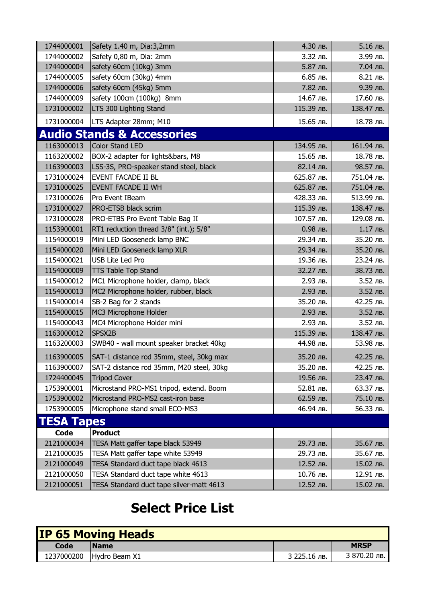| 1744000001        | Safety 1.40 m, Dia:3,2mm                 | 4.30 лв.   | 5.16 лв.   |
|-------------------|------------------------------------------|------------|------------|
| 1744000002        | Safety 0,80 m, Dia: 2mm                  | 3.32 лв.   | 3.99 лв.   |
| 1744000004        | safety 60cm (10kg) 3mm                   | 5.87 лв.   | 7.04 лв.   |
| 1744000005        | safety 60cm (30kg) 4mm                   | 6.85 лв.   | 8.21 лв.   |
| 1744000006        | safety 60cm (45kg) 5mm                   | 7.82 лв.   | 9.39 лв.   |
| 1744000009        | safety 100cm (100kg) 8mm                 | 14.67 лв.  | 17.60 лв.  |
| 1731000002        | LTS 300 Lighting Stand                   | 115.39 лв. | 138.47 лв. |
| 1731000004        | LTS Adapter 28mm; M10                    | 15.65 лв.  | 18.78 лв.  |
|                   | <b>Audio Stands &amp; Accessories</b>    |            |            |
| 1163000013        | <b>Color Stand LED</b>                   | 134.95 лв. | 161.94 лв. |
| 1163200002        | BOX-2 adapter for lights&bars, M8        | 15.65 лв.  | 18.78 лв.  |
| 1163900003        | LSS-3S, PRO-speaker stand steel, black   | 82.14 лв.  | 98.57 лв.  |
| 1731000024        | <b>EVENT FACADE II BL</b>                | 625.87 лв. | 751.04 лв. |
| 1731000025        | <b>EVENT FACADE II WH</b>                | 625.87 лв. | 751.04 лв. |
| 1731000026        | Pro Event IBeam                          | 428.33 лв. | 513.99 лв. |
| 1731000027        | <b>PRO-ETSB black scrim</b>              | 115.39 лв. | 138.47 лв. |
| 1731000028        | PRO-ETBS Pro Event Table Bag II          | 107.57 лв. | 129.08 лв. |
| 1153900001        | RT1 reduction thread 3/8" (int.); 5/8"   | 0.98 лв.   | 1.17 лв.   |
| 1154000019        | Mini LED Gooseneck lamp BNC              | 29.34 лв.  | 35.20 лв.  |
| 1154000020        | Mini LED Gooseneck lamp XLR              | 29.34 лв.  | 35.20 лв.  |
| 1154000021        | <b>USB Lite Led Pro</b>                  | 19.36 лв.  | 23.24 лв.  |
| 1154000009        | <b>TTS Table Top Stand</b>               | 32.27 лв.  | 38.73 лв.  |
| 1154000012        | MC1 Microphone holder, clamp, black      | 2.93 лв.   | 3.52 лв.   |
| 1154000013        | MC2 Microphone holder, rubber, black     | 2.93 лв.   | 3.52 лв.   |
| 1154000014        | SB-2 Bag for 2 stands                    | 35.20 лв.  | 42.25 лв.  |
| 1154000015        | MC3 Microphone Holder                    | 2.93 лв.   | 3.52 лв.   |
| 1154000043        | MC4 Microphone Holder mini               | 2.93 лв.   | 3.52 лв.   |
| 1163000012        | SPSX2B                                   | 115.39 лв. | 138.47 лв. |
| 1163200003        | SWB40 - wall mount speaker bracket 40kg  | 44.98 лв.  | 53.98 лв.  |
| 1163900005        | SAT-1 distance rod 35mm, steel, 30kg max | 35.20 лв.  | 42.25 лв.  |
| 1163900007        | SAT-2 distance rod 35mm, M20 steel, 30kg | 35.20 лв.  | 42.25 лв.  |
| 1724400045        | <b>Tripod Cover</b>                      | 19.56 лв.  | 23.47 лв.  |
| 1753900001        | Microstand PRO-MS1 tripod, extend. Boom  | 52.81 лв.  | 63.37 лв.  |
| 1753900002        | Microstand PRO-MS2 cast-iron base        | 62.59 лв.  | 75.10 лв.  |
| 1753900005        | Microphone stand small ECO-MS3           | 46.94 лв.  | 56.33 лв.  |
| <b>TESA Tapes</b> |                                          |            |            |
| Code              | <b>Product</b>                           |            |            |
| 2121000034        | TESA Matt gaffer tape black 53949        | 29.73 лв.  | 35.67 лв.  |
| 2121000035        | TESA Matt gaffer tape white 53949        | 29.73 лв.  | 35.67 лв.  |
| 2121000049        | TESA Standard duct tape black 4613       | 12.52 лв.  | 15.02 лв.  |
| 2121000050        | TESA Standard duct tape white 4613       | 10.76 лв.  | 12.91 лв.  |
| 2121000051        | TESA Standard duct tape silver-matt 4613 | 12.52 лв.  | 15.02 лв.  |

## Select Price List

|      | <b>IP 65 Moving Heads</b> |              |              |
|------|---------------------------|--------------|--------------|
| Code | <b>IName</b>              |              | <b>MRSP</b>  |
|      | 1237000200 Hydro Beam X1  | 3 225.16 лв. | 3 870.20 лв. |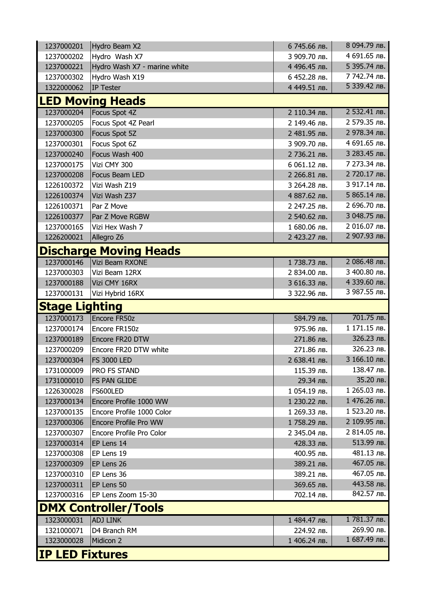| 1237000201            | Hydro Beam X2                 | 6 745.66 лв. | 8 094.79 лв. |  |
|-----------------------|-------------------------------|--------------|--------------|--|
| 1237000202            | Hydro Wash X7                 | 3 909.70 лв. | 4 691.65 лв. |  |
| 1237000221            | Hydro Wash X7 - marine white  | 4 496.45 лв. | 5 395.74 лв. |  |
| 1237000302            | Hydro Wash X19                | 6 452.28 лв. | 7 742.74 лв. |  |
| 1322000062            | IP Tester                     | 4 449.51 лв. | 5 339.42 лв. |  |
|                       | <b>LED Moving Heads</b>       |              |              |  |
| 1237000204            | Focus Spot 4Z                 | 2 110.34 лв. | 2 532.41 лв. |  |
| 1237000205            | Focus Spot 4Z Pearl           | 2 149.46 лв. | 2 579.35 лв. |  |
| 1237000300            | Focus Spot 5Z                 | 2 481.95 лв. | 2 978.34 лв. |  |
| 1237000301            | Focus Spot 6Z                 | 3 909.70 лв. | 4 691.65 лв. |  |
| 1237000240            | Focus Wash 400                | 2 736.21 лв. | 3 283.45 лв. |  |
| 1237000175            | Vizi CMY 300                  | 6 061.12 лв. | 7 273.34 лв. |  |
| 1237000208            | Focus Beam LED                | 2 266.81 лв. | 2 720.17 лв. |  |
| 1226100372            | Vizi Wash Z19                 | 3 264.28 лв. | 3 917.14 лв. |  |
| 1226100374            | Vizi Wash Z37                 | 4 887.62 лв. | 5 865.14 лв. |  |
| 1226100371            | Par Z Move                    | 2 247.25 лв. | 2 696.70 лв. |  |
| 1226100377            | Par Z Move RGBW               | 2 540.62 лв. | 3 048.75 лв. |  |
| 1237000165            | Vizi Hex Wash 7               | 1 680.06 лв. | 2 016.07 лв. |  |
| 1226200021            | Allegro Z6                    | 2 423.27 лв. | 2 907.93 лв. |  |
|                       | <b>Discharge Moving Heads</b> |              |              |  |
| 1237000146            | Vizi Beam RXONE               | 1738.73 лв.  | 2 086.48 лв. |  |
| 1237000303            | Vizi Beam 12RX                | 2 834.00 лв. | З 400.80 лв. |  |
| 1237000188            | Vizi CMY 16RX                 | 3 616.33 лв. | 4 339.60 лв. |  |
| 1237000131            | Vizi Hybrid 16RX              | 3 322.96 лв. | 3 987.55 лв. |  |
| <b>Stage Lighting</b> |                               |              |              |  |
|                       |                               |              |              |  |
| 1237000173            | Encore FR50z                  | 584.79 лв.   | 701.75 лв.   |  |
| 1237000174            | Encore FR150z                 | 975.96 лв.   | 1 171.15 лв. |  |
| 1237000189            | Encore FR20 DTW               | 271.86 лв.   | 326.23 лв.   |  |
| 1237000209            | Encore FR20 DTW white         | 271.86 лв.   | 326.23 лв.   |  |
| 1237000304            | <b>FS 3000 LED</b>            | 2 638.41 лв. | 3 166.10 лв. |  |
| 1731000009            | <b>PRO FS STAND</b>           | 115.39 лв.   | 138.47 лв.   |  |
| 1731000010            | <b>FS PAN GLIDE</b>           | 29.34 лв.    | 35.20 лв.    |  |
| 1226300028            | FS600LED                      | 1 054.19 лв. | 1 265.03 лв. |  |
| 1237000134            | Encore Profile 1000 WW        | 1 230.22 лв. | 1 476.26 лв. |  |
| 1237000135            | Encore Profile 1000 Color     | 1 269.33 лв. | 1 523.20 лв. |  |
| 1237000306            | <b>Encore Profile Pro WW</b>  | 1758.29 лв.  | 2 109.95 лв. |  |
| 1237000307            | Encore Profile Pro Color      | 2 345.04 лв. | 2 814.05 лв. |  |
| 1237000314            | EP Lens 14                    | 428.33 лв.   | 513.99 лв.   |  |
| 1237000308            | EP Lens 19                    | 400.95 лв.   | 481.13 лв.   |  |
| 1237000309            | EP Lens 26                    | 389.21 лв.   | 467.05 лв.   |  |
| 1237000310            | EP Lens 36                    | 389.21 лв.   | 467.05 лв.   |  |
| 1237000311            | EP Lens 50                    | 369.65 лв.   | 443.58 лв.   |  |
| 1237000316            | EP Lens Zoom 15-30            | 702.14 лв.   | 842.57 лв.   |  |
|                       | <b>DMX Controller/Tools</b>   |              |              |  |
| 1323000031            | <b>ADJ LINK</b>               | 1 484.47 лв. | 1781.37 лв.  |  |
| 1321000071            | D4 Branch RM                  | 224.92 лв.   | 269.90 лв.   |  |
| 1323000028            | Midicon 2                     | 1 406.24 лв. | 1 687.49 лв. |  |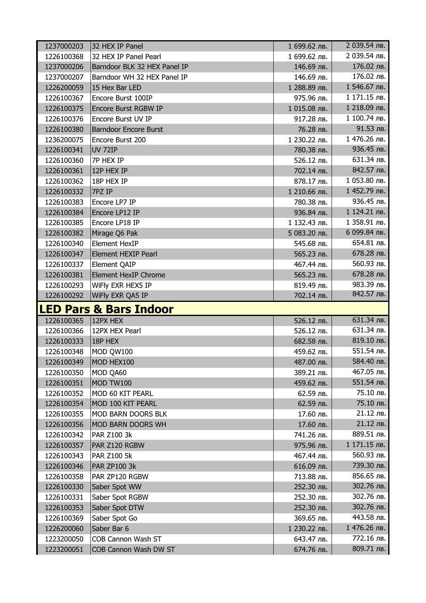| 1237000203 | 32 HEX IP Panel                             | 1 699.62 лв. | 2 039.54 лв.             |
|------------|---------------------------------------------|--------------|--------------------------|
| 1226100368 | 32 HEX IP Panel Pearl                       | 1 699.62 лв. | 2 039.54 лв.             |
| 1237000206 | Barndoor BLK 32 HEX Panel IP                | 146.69 лв.   | 176.02 лв.               |
| 1237000207 | Barndoor WH 32 HEX Panel IP                 | 146.69 лв.   | 176.02 лв.               |
| 1226200059 | 15 Hex Bar LED                              | 1 288.89 лв. | 1 546.67 лв.             |
| 1226100367 | Encore Burst 100IP                          | 975.96 лв.   | 1 171.15 лв.             |
| 1226100375 | <b>Encore Burst RGBW IP</b>                 | 1 015.08 лв. | 1 218.09 лв.             |
| 1226100376 | <b>Encore Burst UV IP</b>                   | 917.28 лв.   | 1 100.74 лв.             |
| 1226100380 | <b>Barndoor Encore Burst</b>                | 76.28 лв.    | 91.53 лв.                |
| 1236200075 | Encore Burst 200                            | 1 230.22 лв. | 1 476.26 лв.             |
| 1226100341 | <b>UV 72IP</b>                              | 780.38 лв.   | 936.45 лв.               |
| 1226100360 | 7P HEX IP                                   | 526.12 лв.   | 631.34 лв.               |
| 1226100361 | 12P HEX IP                                  | 702.14 лв.   | 842.57 лв.               |
| 1226100362 | 18P HEX IP                                  | 878.17 лв.   | 1 053.80 лв.             |
| 1226100332 | 7PZ IP                                      | 1 210.66 лв. | 1 452.79 лв.             |
| 1226100383 | Encore LP7 IP                               | 780.38 лв.   | 936.45 лв.               |
| 1226100384 | Encore LP12 IP                              | 936.84 лв.   | 1 124.21 лв.             |
| 1226100385 | Encore LP18 IP                              | 1 132.43 лв. | 1 358.91 лв.             |
| 1226100382 | Mirage Q6 Pak                               | 5 083.20 лв. | 6 099.84 лв.             |
| 1226100340 | <b>Element HexIP</b>                        | 545.68 лв.   | 654.81 лв.               |
| 1226100347 | <b>Element HEXIP Pearl</b>                  | 565.23 лв.   | 678.28 лв.               |
| 1226100337 | <b>Element QAIP</b>                         | 467.44 лв.   | 560.93 лв.               |
| 1226100381 | <b>Element HexIP Chrome</b>                 | 565.23 лв.   | 678.28 лв.               |
| 1226100293 | WiFly EXR HEX5 IP                           | 819.49 лв.   | 983.39 лв.               |
| 1226100292 | WiFly EXR QA5 IP                            | 702.14 лв.   | 842.57 лв.               |
|            |                                             |              |                          |
|            | <b>ILED Pars &amp; Bars Indoor</b>          |              |                          |
| 1226100365 | 12PX HEX                                    | 526.12 лв.   | 631.34 лв.               |
| 1226100366 | 12PX HEX Pearl                              | 526.12 лв.   | 631.34 лв.               |
| 1226100333 | 18P HEX                                     | 682.58 лв.   | 819.10 лв.               |
| 1226100348 | MOD QW100                                   | 459.62 лв.   | 551.54 лв.               |
| 1226100349 | MOD HEX100                                  | 487.00 лв.   | 584.40 лв.               |
| 1226100350 | MOD QA60                                    | 389.21 лв.   | 467.05 лв.               |
| 1226100351 | MOD TW100                                   | 459.62 лв.   | 551.54 лв.               |
| 1226100352 | MOD 60 KIT PEARL                            | 62.59 лв.    | 75.10 лв.                |
| 1226100354 | MOD 100 KIT PEARL                           | 62.59 лв.    | 75.10 лв.                |
| 1226100355 | MOD BARN DOORS BLK                          | 17.60 лв.    | 21.12 лв.                |
| 1226100356 | MOD BARN DOORS WH                           | 17.60 лв.    | 21.12 лв.                |
| 1226100342 | <b>PAR Z100 3k</b>                          | 741.26 лв.   | 889.51 лв.               |
| 1226100357 | PAR Z120 RGBW                               | 975.96 лв.   | 1 171.15 лв.             |
| 1226100343 | <b>PAR Z100 5k</b>                          | 467.44 лв.   | 560.93 лв.               |
| 1226100346 | <b>PAR ZP100 3k</b>                         | 616.09 лв.   | 739.30 лв.               |
| 1226100358 | PAR ZP120 RGBW                              | 713.88 лв.   | 856.65 лв.               |
| 1226100330 | Saber Spot WW                               | 252.30 лв.   | 302.76 лв.               |
| 1226100331 | Saber Spot RGBW                             | 252.30 лв.   | 302.76 лв.               |
| 1226100353 | Saber Spot DTW                              | 252.30 лв.   | 302.76 лв.               |
| 1226100369 | Saber Spot Go                               | 369.65 лв.   | 443.58 лв.               |
| 1226200060 | Saber Bar 6                                 | 1 230.22 лв. | 1 476.26 лв.             |
| 1223200050 | COB Cannon Wash ST<br>COB Cannon Wash DW ST | 643.47 лв.   | 772.16 лв.<br>809.71 лв. |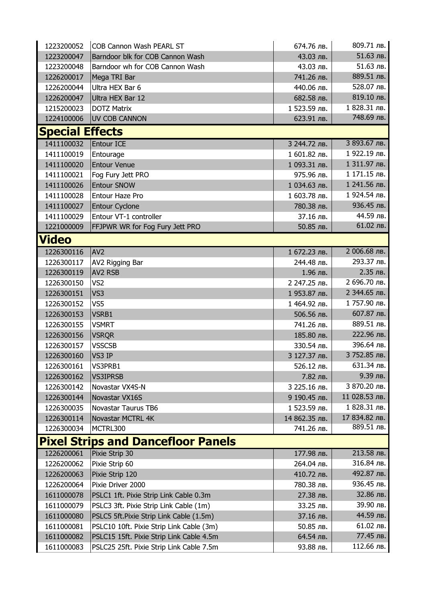| 1223200052                                | COB Cannon Wash PEARL ST                 | 674.76 лв.    | 809.71 лв.    |  |
|-------------------------------------------|------------------------------------------|---------------|---------------|--|
| 1223200047                                | Barndoor blk for COB Cannon Wash         | 43.03 лв.     | 51.63 лв.     |  |
| 1223200048                                | Barndoor wh for COB Cannon Wash          | 43.03 лв.     | 51.63 лв.     |  |
| 1226200017                                | Mega TRI Bar                             | 741.26 лв.    | 889.51 лв.    |  |
| 1226200044                                | Ultra HEX Bar 6                          | 440.06 лв.    | 528.07 лв.    |  |
| 1226200047                                | Ultra HEX Bar 12                         | 682.58 лв.    | 819.10 лв.    |  |
| 1215200023                                | <b>DOTZ Matrix</b>                       | 1 523.59 лв.  | 1 828.31 лв.  |  |
| 1224100006                                | <b>UV COB CANNON</b>                     | 623.91 лв.    | 748.69 лв.    |  |
| <b>Special Effects</b>                    |                                          |               |               |  |
| 1411100032                                | <b>Entour ICE</b>                        | 3 244.72 лв.  | 3 893.67 лв.  |  |
| 1411100019                                | Entourage                                | 1 601.82 лв.  | 1 922.19 лв.  |  |
| 1411100020                                | <b>Entour Venue</b>                      | 1 093.31 лв.  | 1 311.97 лв.  |  |
| 1411100021                                | Fog Fury Jett PRO                        | 975.96 лв.    | 1 171.15 лв.  |  |
| 1411100026                                | Entour SNOW                              | 1 034.63 лв.  | 1 241.56 лв.  |  |
| 1411100028                                | Entour Haze Pro                          | 1 603.78 лв.  | 1 924.54 лв.  |  |
| 1411100027                                | <b>Entour Cyclone</b>                    | 780.38 лв.    | 936.45 лв.    |  |
| 1411100029                                | Entour VT-1 controller                   | 37.16 лв.     | 44.59 лв.     |  |
| 1221000009                                | FFJPWR WR for Fog Fury Jett PRO          | 50.85 лв.     | 61.02 лв.     |  |
| <b>Video</b>                              |                                          |               |               |  |
| 1226300116                                | AV <sub>2</sub>                          | 1 672.23 лв.  | 2 006.68 лв.  |  |
| 1226300117                                | AV2 Rigging Bar                          | 244.48 лв.    | 293.37 лв.    |  |
| 1226300119                                | AV2 RSB                                  | 1.96 лв.      | 2.35 лв.      |  |
| 1226300150                                | VS <sub>2</sub>                          | 2 247.25 лв.  | 2 696.70 лв.  |  |
| 1226300151                                | VS3                                      | 1 953.87 лв.  | 2 344.65 лв.  |  |
| 1226300152                                | VS5                                      | 1 464.92 лв.  | 1757.90 лв.   |  |
| 1226300153                                | VSRB1                                    | 506.56 лв.    | 607.87 лв.    |  |
| 1226300155                                | <b>VSMRT</b>                             | 741.26 лв.    | 889.51 лв.    |  |
| 1226300156                                | <b>VSRQR</b>                             | 185.80 лв.    | 222.96 лв.    |  |
| 1226300157                                | <b>VSSCSB</b>                            | 330.54 лв.    | 396.64 лв.    |  |
| 1226300160                                | VS3 IP                                   | 3 127.37 лв.  | 3 752.85 лв.  |  |
| 1226300161                                | VS3PRB1                                  | 526.12 лв.    | $631.34$ лв.  |  |
| 1226300162                                | <b>VS3IPRSB</b>                          | 7.82 лв.      | 9.39 лв.      |  |
| 1226300142                                | Novastar VX4S-N                          | 3 225.16 лв.  | 3 870.20 лв.  |  |
| 1226300144                                | Novastar VX16S                           | 9 190.45 лв.  | 11 028.53 лв. |  |
| 1226300035                                | <b>Novastar Taurus TB6</b>               | 1 523.59 лв.  | 1 828.31 лв.  |  |
| 1226300114                                | <b>Novastar MCTRL 4K</b>                 | 14 862.35 лв. | 17 834.82 лв. |  |
| 1226300034                                | MCTRL300                                 | 741.26 лв.    | 889.51 лв.    |  |
| <b>Pixel Strips and Dancefloor Panels</b> |                                          |               |               |  |
| 1226200061                                | Pixie Strip 30                           | 177.98 лв.    | 213.58 лв.    |  |
| 1226200062                                | Pixie Strip 60                           | 264.04 лв.    | 316.84 лв.    |  |
| 1226200063                                | Pixie Strip 120                          | 410.72 лв.    | 492.87 лв.    |  |
| 1226200064                                | Pixie Driver 2000                        | 780.38 лв.    | 936.45 лв.    |  |
| 1611000078                                | PSLC1 1ft. Pixie Strip Link Cable 0.3m   | 27.38 лв.     | 32.86 лв.     |  |
| 1611000079                                | PSLC3 3ft. Pixie Strip Link Cable (1m)   | 33.25 лв.     | 39.90 лв.     |  |
| 1611000080                                | PSLC5 5ft.Pixie Strip Link Cable (1.5m)  | 37.16 лв.     | 44.59 лв.     |  |
| 1611000081                                | PSLC10 10ft. Pixie Strip Link Cable (3m) | 50.85 лв.     | 61.02 лв.     |  |
| 1611000082                                | PSLC15 15ft. Pixie Strip Link Cable 4.5m | 64.54 лв.     | 77.45 лв.     |  |
| 1611000083                                | PSLC25 25ft. Pixie Strip Link Cable 7.5m | 93.88 лв.     | 112.66 лв.    |  |